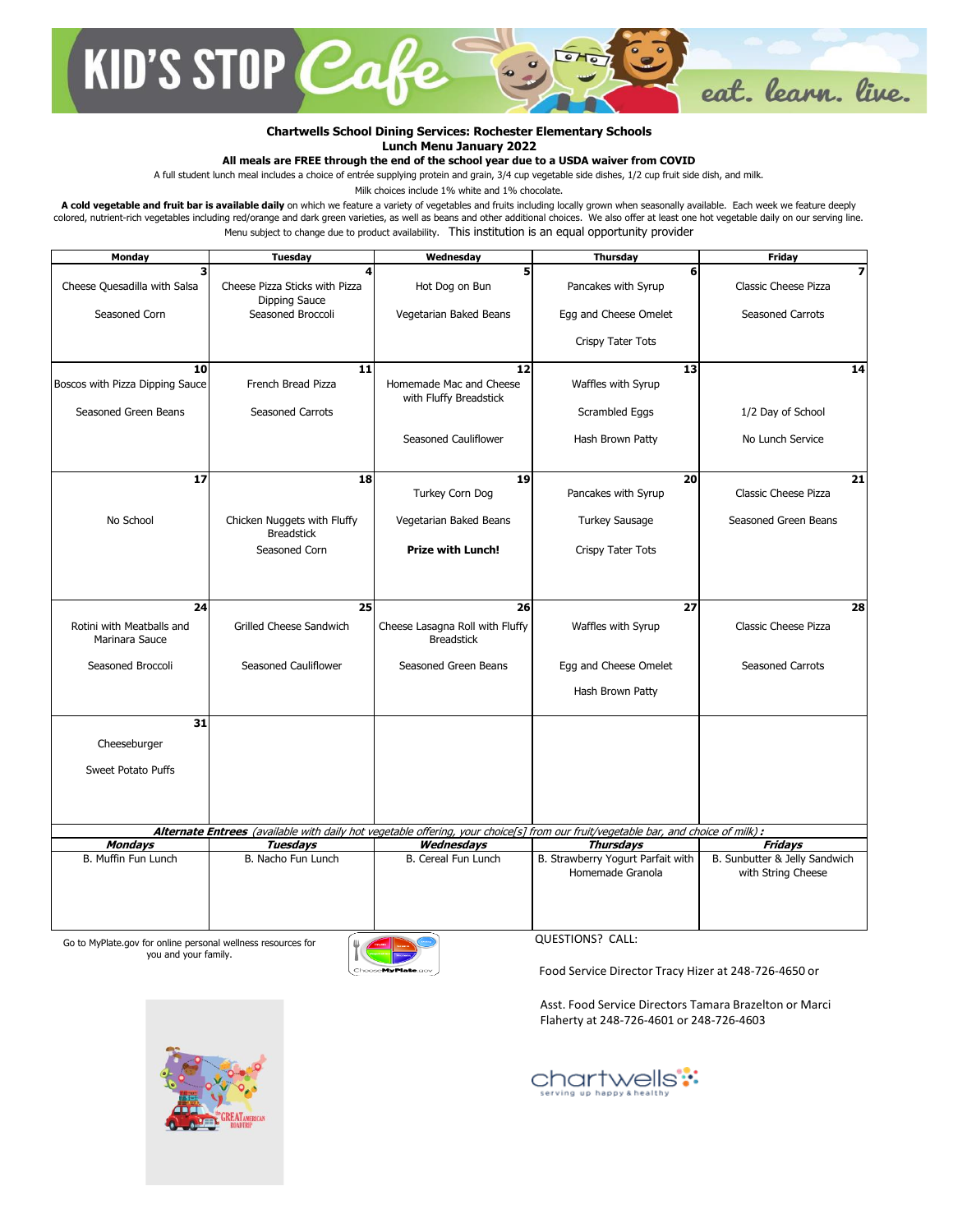

## **Chartwells School Dining Services: Rochester Elementary Schools Lunch Menu January 2022**

## **All meals are FREE through the end of the school year due to a USDA waiver from COVID**

A full student lunch meal includes a choice of entrée supplying protein and grain, 3/4 cup vegetable side dishes, 1/2 cup fruit side dish, and milk.

Milk choices include 1% white and 1% chocolate.

A cold vegetable and fruit bar is available daily on which we feature a variety of vegetables and fruits including locally grown when seasonally available. Each week we feature deeply colored, nutrient-rich vegetables including red/orange and dark green varieties, as well as beans and other additional choices. We also offer at least one hot vegetable daily on our serving line. Menu subject to change due to product availability. This institution is an equal opportunity provider

| Monday                                      | <b>Tuesday</b>                                   | Wednesday                                            | <b>Thursday</b>                                                                                                                   | <b>Friday</b>                                       |
|---------------------------------------------|--------------------------------------------------|------------------------------------------------------|-----------------------------------------------------------------------------------------------------------------------------------|-----------------------------------------------------|
| 3                                           |                                                  | 5                                                    | 6                                                                                                                                 | 7                                                   |
| Cheese Quesadilla with Salsa                | Cheese Pizza Sticks with Pizza<br>Dipping Sauce  | Hot Dog on Bun                                       | Pancakes with Syrup                                                                                                               | Classic Cheese Pizza                                |
| Seasoned Corn                               | Seasoned Broccoli                                | Vegetarian Baked Beans                               | Egg and Cheese Omelet                                                                                                             | <b>Seasoned Carrots</b>                             |
|                                             |                                                  |                                                      | Crispy Tater Tots                                                                                                                 |                                                     |
| 10                                          | 11                                               | 12                                                   | 13                                                                                                                                | 14                                                  |
| Boscos with Pizza Dipping Sauce             | French Bread Pizza                               | Homemade Mac and Cheese<br>with Fluffy Breadstick    | Waffles with Syrup                                                                                                                |                                                     |
| Seasoned Green Beans                        | Seasoned Carrots                                 |                                                      | Scrambled Eggs                                                                                                                    | 1/2 Day of School                                   |
|                                             |                                                  | Seasoned Cauliflower                                 | Hash Brown Patty                                                                                                                  | No Lunch Service                                    |
|                                             |                                                  |                                                      |                                                                                                                                   |                                                     |
| 17                                          | 18                                               | 19                                                   | 20                                                                                                                                | 21                                                  |
|                                             |                                                  | Turkey Corn Dog                                      | Pancakes with Syrup                                                                                                               | Classic Cheese Pizza                                |
| No School                                   | Chicken Nuggets with Fluffy<br><b>Breadstick</b> | Vegetarian Baked Beans                               | <b>Turkey Sausage</b>                                                                                                             | Seasoned Green Beans                                |
|                                             | Seasoned Corn                                    | <b>Prize with Lunch!</b>                             | Crispy Tater Tots                                                                                                                 |                                                     |
|                                             |                                                  |                                                      |                                                                                                                                   |                                                     |
|                                             |                                                  |                                                      |                                                                                                                                   |                                                     |
| 24                                          | 25                                               | 26                                                   | 27                                                                                                                                | 28                                                  |
| Rotini with Meatballs and<br>Marinara Sauce | <b>Grilled Cheese Sandwich</b>                   | Cheese Lasagna Roll with Fluffy<br><b>Breadstick</b> | Waffles with Syrup                                                                                                                | Classic Cheese Pizza                                |
| Seasoned Broccoli                           | Seasoned Cauliflower                             | Seasoned Green Beans                                 | Egg and Cheese Omelet                                                                                                             | <b>Seasoned Carrots</b>                             |
|                                             |                                                  |                                                      | Hash Brown Patty                                                                                                                  |                                                     |
| 31                                          |                                                  |                                                      |                                                                                                                                   |                                                     |
| Cheeseburger                                |                                                  |                                                      |                                                                                                                                   |                                                     |
| Sweet Potato Puffs                          |                                                  |                                                      |                                                                                                                                   |                                                     |
|                                             |                                                  |                                                      |                                                                                                                                   |                                                     |
|                                             |                                                  |                                                      |                                                                                                                                   |                                                     |
|                                             |                                                  |                                                      | Alternate Entrees (available with daily hot vegetable offering, your choice[s] from our fruit/vegetable bar, and choice of milk): |                                                     |
| <b>Mondays</b>                              | <b>Tuesdays</b>                                  | Wednesdays                                           | <b>Thursdays</b>                                                                                                                  | <b>Fridays</b>                                      |
| B. Muffin Fun Lunch                         | B. Nacho Fun Lunch                               | B. Cereal Fun Lunch                                  | B. Strawberry Yogurt Parfait with<br>Homemade Granola                                                                             | B. Sunbutter & Jelly Sandwich<br>with String Cheese |
|                                             |                                                  |                                                      |                                                                                                                                   |                                                     |

Go to MyPlate.gov for online personal wellness resources for you and your family.



QUESTIONS? CALL:

Food Service Director Tracy Hizer at 248-726-4650 or

Asst. Food Service Directors Tamara Brazelton or Marci Flaherty at 248-726-4601 or 248-726-4603